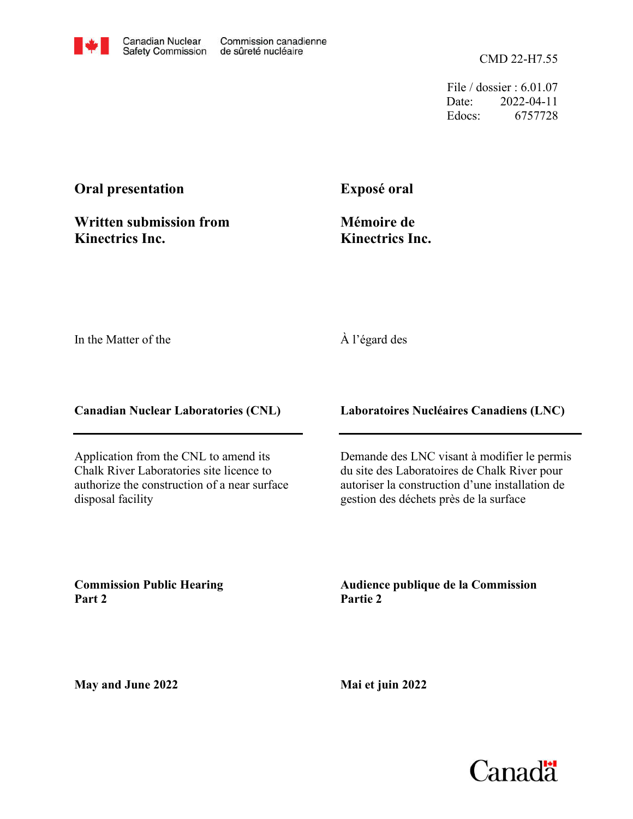CMD 22-H7.55

File / dossier : 6.01.07 Date: 2022-04-11 Edocs: 6757728

## **Oral presentation**

**Written submission from Kinectrics Inc.**

**Exposé oral**

**Mémoire de Kinectrics Inc.**

In the Matter of the

## À l'égard des

**Canadian Nuclear Laboratories (CNL)**

Application from the CNL to amend its Chalk River Laboratories site licence to authorize the construction of a near surface disposal facility

**Laboratoires Nucléaires Canadiens (LNC)**

Demande des LNC visant à modifier le permis du site des Laboratoires de Chalk River pour autoriser la construction d'une installation de gestion des déchets près de la surface

**Commission Public Hearing Part 2**

**Audience publique de la Commission Partie 2**

**May and June 2022**

**Mai et juin 2022**

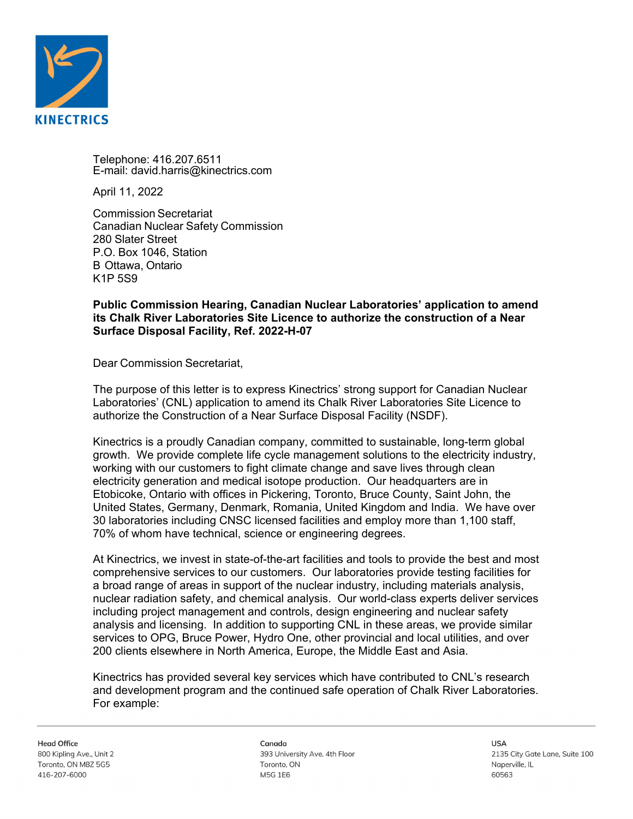

Telephone: 416.207.6511 E-mail: david.harris@kinectrics.com

April 11, 2022

Commission Secretariat Canadian Nuclear Safety Commission 280 Slater Street P.O. Box 1046, Station B Ottawa, Ontario K1P 5S9

## **Public Commission Hearing, Canadian Nuclear Laboratories' application to amend its Chalk River Laboratories Site Licence to authorize the construction of a Near Surface Disposal Facility, Ref. 2022-H-07**

Dear Commission Secretariat,

The purpose of this letter is to express Kinectrics' strong support for Canadian Nuclear Laboratories' (CNL) application to amend its Chalk River Laboratories Site Licence to authorize the Construction of a Near Surface Disposal Facility (NSDF).

Kinectrics is a proudly Canadian company, committed to sustainable, long-term global growth. We provide complete life cycle management solutions to the electricity industry, working with our customers to fight climate change and save lives through clean electricity generation and medical isotope production. Our headquarters are in Etobicoke, Ontario with offices in Pickering, Toronto, Bruce County, Saint John, the United States, Germany, Denmark, Romania, United Kingdom and India. We have over 30 laboratories including CNSC licensed facilities and employ more than 1,100 staff, 70% of whom have technical, science or engineering degrees.

At Kinectrics, we invest in state-of-the-art facilities and tools to provide the best and most comprehensive services to our customers. Our laboratories provide testing facilities for a broad range of areas in support of the nuclear industry, including materials analysis, nuclear radiation safety, and chemical analysis. Our world-class experts deliver services including project management and controls, design engineering and nuclear safety analysis and licensing. In addition to supporting CNL in these areas, we provide similar services to OPG, Bruce Power, Hydro One, other provincial and local utilities, and over 200 clients elsewhere in North America, Europe, the Middle East and Asia.

Kinectrics has provided several key services which have contributed to CNL's research and development program and the continued safe operation of Chalk River Laboratories. For example:

Canada 393 University Ave. 4th Floor Toronto, ON **M5G 1F6** 

**A2U** 2135 City Gate Lane, Suite 100 Naperville, IL 60563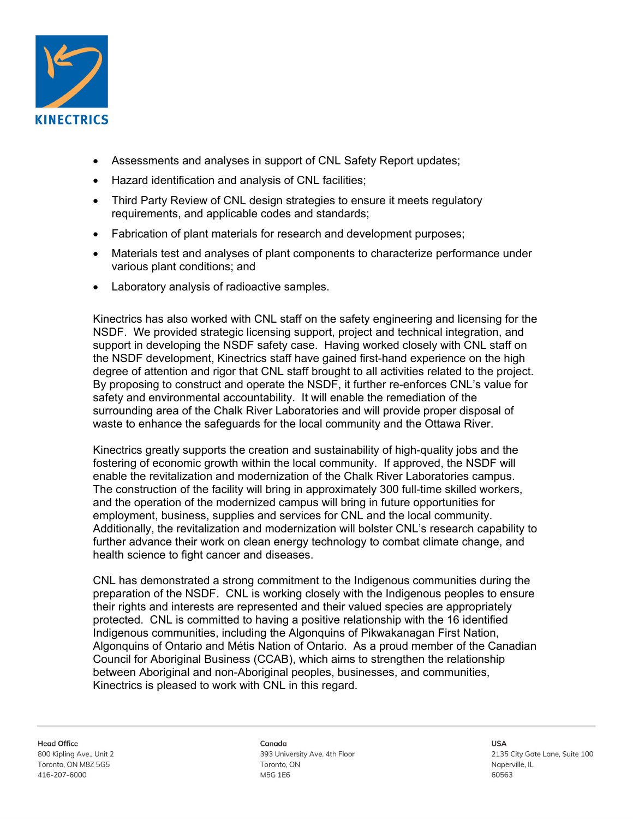

- Assessments and analyses in support of CNL Safety Report updates;
- Hazard identification and analysis of CNL facilities;
- Third Party Review of CNL design strategies to ensure it meets regulatory requirements, and applicable codes and standards;
- Fabrication of plant materials for research and development purposes;
- Materials test and analyses of plant components to characterize performance under various plant conditions; and
- Laboratory analysis of radioactive samples.

Kinectrics has also worked with CNL staff on the safety engineering and licensing for the NSDF. We provided strategic licensing support, project and technical integration, and support in developing the NSDF safety case. Having worked closely with CNL staff on the NSDF development, Kinectrics staff have gained first-hand experience on the high degree of attention and rigor that CNL staff brought to all activities related to the project. By proposing to construct and operate the NSDF, it further re-enforces CNL's value for safety and environmental accountability. It will enable the remediation of the surrounding area of the Chalk River Laboratories and will provide proper disposal of waste to enhance the safeguards for the local community and the Ottawa River.

Kinectrics greatly supports the creation and sustainability of high-quality jobs and the fostering of economic growth within the local community. If approved, the NSDF will enable the revitalization and modernization of the Chalk River Laboratories campus. The construction of the facility will bring in approximately 300 full-time skilled workers, and the operation of the modernized campus will bring in future opportunities for employment, business, supplies and services for CNL and the local community. Additionally, the revitalization and modernization will bolster CNL's research capability to further advance their work on clean energy technology to combat climate change, and health science to fight cancer and diseases.

CNL has demonstrated a strong commitment to the Indigenous communities during the preparation of the NSDF. CNL is working closely with the Indigenous peoples to ensure their rights and interests are represented and their valued species are appropriately protected. CNL is committed to having a positive relationship with the 16 identified Indigenous communities, including the Algonquins of Pikwakanagan First Nation, Algonquins of Ontario and Métis Nation of Ontario. As a proud member of the Canadian Council for Aboriginal Business (CCAB), which aims to strengthen the relationship between Aboriginal and non-Aboriginal peoples, businesses, and communities, Kinectrics is pleased to work with CNL in this regard.

Canada 393 University Ave. 4th Floor Toronto, ON **M5G 1F6**